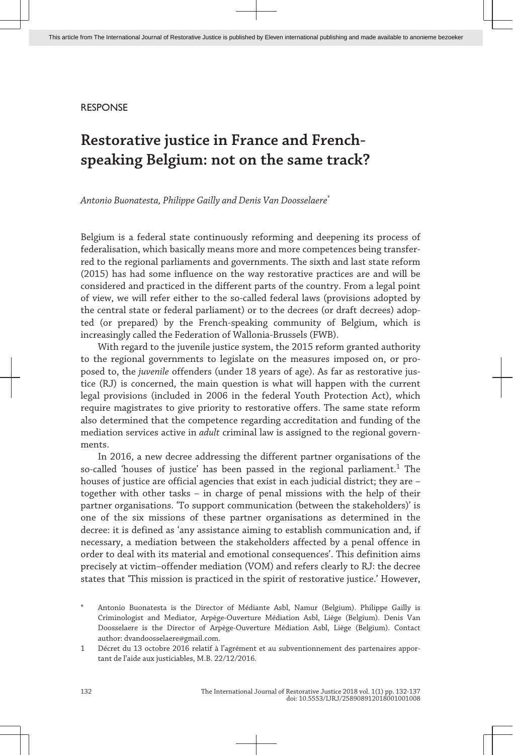## RESPONSE

# **Restorative justice in France and Frenchspeaking Belgium: not on the same track?**

*Antonio Buonatesta, Philippe Gailly and Denis Van Doosselaere*\*

Belgium is a federal state continuously reforming and deepening its process of federalisation, which basically means more and more competences being transfer‐ red to the regional parliaments and governments. The sixth and last state reform (2015) has had some influence on the way restorative practices are and will be considered and practiced in the different parts of the country. From a legal point of view, we will refer either to the so-called federal laws (provisions adopted by the central state or federal parliament) or to the decrees (or draft decrees) adop‐ ted (or prepared) by the French-speaking community of Belgium, which is increasingly called the Federation of Wallonia-Brussels (FWB).

With regard to the juvenile justice system, the 2015 reform granted authority to the regional governments to legislate on the measures imposed on, or proposed to, the *juvenile* offenders (under 18 years of age). As far as restorative justice (RJ) is concerned, the main question is what will happen with the current legal provisions (included in 2006 in the federal Youth Protection Act), which require magistrates to give priority to restorative offers. The same state reform also determined that the competence regarding accreditation and funding of the mediation services active in *adult* criminal law is assigned to the regional govern‐ ments.

In 2016, a new decree addressing the different partner organisations of the so-called 'houses of justice' has been passed in the regional parliament.<sup>1</sup> The houses of justice are official agencies that exist in each judicial district; they are – together with other tasks – in charge of penal missions with the help of their partner organisations. 'To support communication (between the stakeholders)' is one of the six missions of these partner organisations as determined in the decree: it is defined as 'any assistance aiming to establish communication and, if necessary, a mediation between the stakeholders affected by a penal offence in order to deal with its material and emotional consequences'. This definition aims precisely at victim–offender mediation (VOM) and refers clearly to RJ: the decree states that 'This mission is practiced in the spirit of restorative justice.' However,

\* Antonio Buonatesta is the Director of Médiante Asbl, Namur (Belgium). Philippe Gailly is Criminologist and Mediator, Arpège-Ouverture Médiation Asbl, Liège (Belgium). Denis Van Doosselaere is the Director of Arpège-Ouverture Médiation Asbl, Liège (Belgium). Contact author: dvandoosselaere@gmail.com.

1 Décret du 13 octobre 2016 relatif à l'agrément et au subventionnement des partenaires appor‐ tant de l'aide aux justiciables, M.B. 22/12/2016.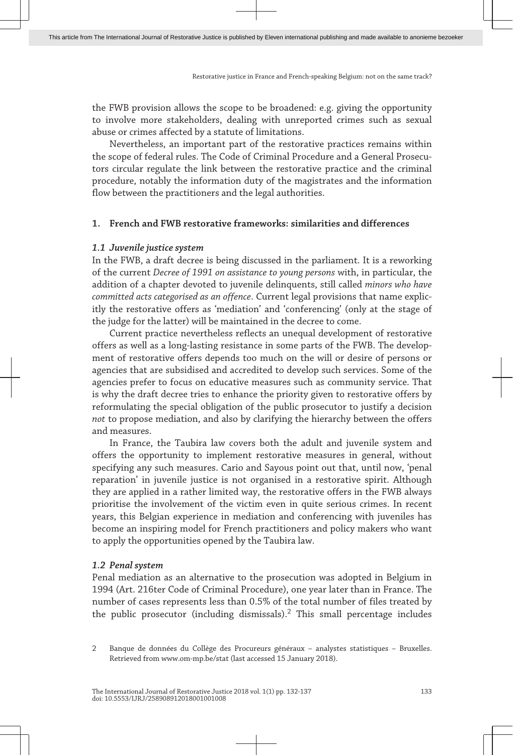the FWB provision allows the scope to be broadened: e.g. giving the opportunity to involve more stakeholders, dealing with unreported crimes such as sexual abuse or crimes affected by a statute of limitations.

Nevertheless, an important part of the restorative practices remains within the scope of federal rules. The Code of Criminal Procedure and a General Prosecutors circular regulate the link between the restorative practice and the criminal procedure, notably the information duty of the magistrates and the information flow between the practitioners and the legal authorities.

## **1. French and FWB restorative frameworks: similarities and differences**

## *1.1 Juvenile justice system*

In the FWB, a draft decree is being discussed in the parliament. It is a reworking of the current *Decree of 1991 on assistance to young persons* with, in particular, the addition of a chapter devoted to juvenile delinquents, still called *minors who have committed acts categorised as an offence*. Current legal provisions that name explic‐ itly the restorative offers as 'mediation' and 'conferencing' (only at the stage of the judge for the latter) will be maintained in the decree to come.

Current practice nevertheless reflects an unequal development of restorative offers as well as a long-lasting resistance in some parts of the FWB. The develop‐ ment of restorative offers depends too much on the will or desire of persons or agencies that are subsidised and accredited to develop such services. Some of the agencies prefer to focus on educative measures such as community service. That is why the draft decree tries to enhance the priority given to restorative offers by reformulating the special obligation of the public prosecutor to justify a decision *not* to propose mediation, and also by clarifying the hierarchy between the offers and measures.

In France, the Taubira law covers both the adult and juvenile system and offers the opportunity to implement restorative measures in general, without specifying any such measures. Cario and Sayous point out that, until now, 'penal reparation' in juvenile justice is not organised in a restorative spirit. Although they are applied in a rather limited way, the restorative offers in the FWB always prioritise the involvement of the victim even in quite serious crimes. In recent years, this Belgian experience in mediation and conferencing with juveniles has become an inspiring model for French practitioners and policy makers who want to apply the opportunities opened by the Taubira law.

## *1.2 Penal system*

Penal mediation as an alternative to the prosecution was adopted in Belgium in 1994 (Art. 216ter Code of Criminal Procedure), one year later than in France. The number of cases represents less than 0.5% of the total number of files treated by the public prosecutor (including dismissals).<sup>2</sup> This small percentage includes

<sup>2</sup> Banque de données du Collège des Procureurs généraux – analystes statistiques – Bruxelles. Retrieved from www.om-mp.be/stat (last accessed 15 January 2018).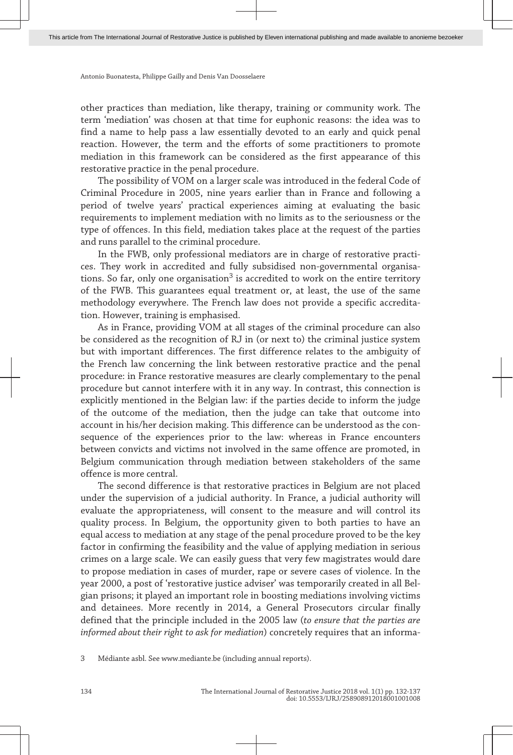Antonio Buonatesta, Philippe Gailly and Denis Van Doosselaere

other practices than mediation, like therapy, training or community work. The term 'mediation' was chosen at that time for euphonic reasons: the idea was to find a name to help pass a law essentially devoted to an early and quick penal reaction. However, the term and the efforts of some practitioners to promote mediation in this framework can be considered as the first appearance of this restorative practice in the penal procedure.

The possibility of VOM on a larger scale was introduced in the federal Code of Criminal Procedure in 2005, nine years earlier than in France and following a period of twelve years' practical experiences aiming at evaluating the basic requirements to implement mediation with no limits as to the seriousness or the type of offences. In this field, mediation takes place at the request of the parties and runs parallel to the criminal procedure.

In the FWB, only professional mediators are in charge of restorative practices. They work in accredited and fully subsidised non-governmental organisations. So far, only one organisation $^3$  is accredited to work on the entire territory of the FWB. This guarantees equal treatment or, at least, the use of the same methodology everywhere. The French law does not provide a specific accredita‐ tion. However, training is emphasised.

As in France, providing VOM at all stages of the criminal procedure can also be considered as the recognition of RJ in (or next to) the criminal justice system but with important differences. The first difference relates to the ambiguity of the French law concerning the link between restorative practice and the penal procedure: in France restorative measures are clearly complementary to the penal procedure but cannot interfere with it in any way. In contrast, this connection is explicitly mentioned in the Belgian law: if the parties decide to inform the judge of the outcome of the mediation, then the judge can take that outcome into account in his/her decision making. This difference can be understood as the consequence of the experiences prior to the law: whereas in France encounters between convicts and victims not involved in the same offence are promoted, in Belgium communication through mediation between stakeholders of the same offence is more central.

The second difference is that restorative practices in Belgium are not placed under the supervision of a judicial authority. In France, a judicial authority will evaluate the appropriateness, will consent to the measure and will control its quality process. In Belgium, the opportunity given to both parties to have an equal access to mediation at any stage of the penal procedure proved to be the key factor in confirming the feasibility and the value of applying mediation in serious crimes on a large scale. We can easily guess that very few magistrates would dare to propose mediation in cases of murder, rape or severe cases of violence. In the year 2000, a post of 'restorative justice adviser' was temporarily created in all Bel‐ gian prisons; it played an important role in boosting mediations involving victims and detainees. More recently in 2014, a General Prosecutors circular finally defined that the principle included in the 2005 law (*to ensure that the parties are informed about their right to ask for mediation*) concretely requires that an informa‐

3 Médiante asbl. See [www. mediante. be](http://www.mediante.be) (including annual reports).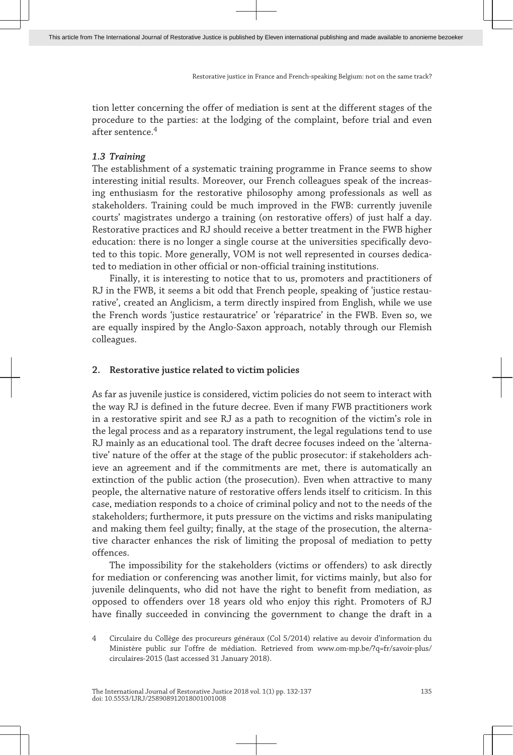Restorative justice in France and French-speaking Belgium: not on the same track?

tion letter concerning the offer of mediation is sent at the different stages of the procedure to the parties: at the lodging of the complaint, before trial and even after sentence.<sup>4</sup>

# *1.3 Training*

The establishment of a systematic training programme in France seems to show interesting initial results. Moreover, our French colleagues speak of the increasing enthusiasm for the restorative philosophy among professionals as well as stakeholders. Training could be much improved in the FWB: currently juvenile courts' magistrates undergo a training (on restorative offers) of just half a day. Restorative practices and RJ should receive a better treatment in the FWB higher education: there is no longer a single course at the universities specifically devoted to this topic. More generally, VOM is not well represented in courses dedicated to mediation in other official or non-official training institutions.

Finally, it is interesting to notice that to us, promoters and practitioners of RJ in the FWB, it seems a bit odd that French people, speaking of 'justice restaurative', created an Anglicism, a term directly inspired from English, while we use the French words 'justice restauratrice' or 'réparatrice' in the FWB. Even so, we are equally inspired by the Anglo-Saxon approach, notably through our Flemish colleagues.

# **2. Restorative justice related to victim policies**

As far as juvenile justice is considered, victim policies do not seem to interact with the way RJ is defined in the future decree. Even if many FWB practitioners work in a restorative spirit and see RJ as a path to recognition of the victim's role in the legal process and as a reparatory instrument, the legal regulations tend to use RJ mainly as an educational tool. The draft decree focuses indeed on the 'alterna‐ tive' nature of the offer at the stage of the public prosecutor: if stakeholders achieve an agreement and if the commitments are met, there is automatically an extinction of the public action (the prosecution). Even when attractive to many people, the alternative nature of restorative offers lends itself to criticism. In this case, mediation responds to a choice of criminal policy and not to the needs of the stakeholders; furthermore, it puts pressure on the victims and risks manipulating and making them feel guilty; finally, at the stage of the prosecution, the alternative character enhances the risk of limiting the proposal of mediation to petty offences.

The impossibility for the stakeholders (victims or offenders) to ask directly for mediation or conferencing was another limit, for victims mainly, but also for juvenile delinquents, who did not have the right to benefit from mediation, as opposed to offenders over 18 years old who enjoy this right. Promoters of RJ have finally succeeded in convincing the government to change the draft in a

<sup>4</sup> Circulaire du Collège des procureurs généraux (Col 5/2014) relative au devoir d'information du Ministère public sur l'offre de médiation. Retrieved from www.om-mp.be/?q=fr/savoir-plus/ [circulaires -2015](http://www.om-mp.be/?q=fr/savoir-plus/circulaires-2015) (last accessed 31 January 2018).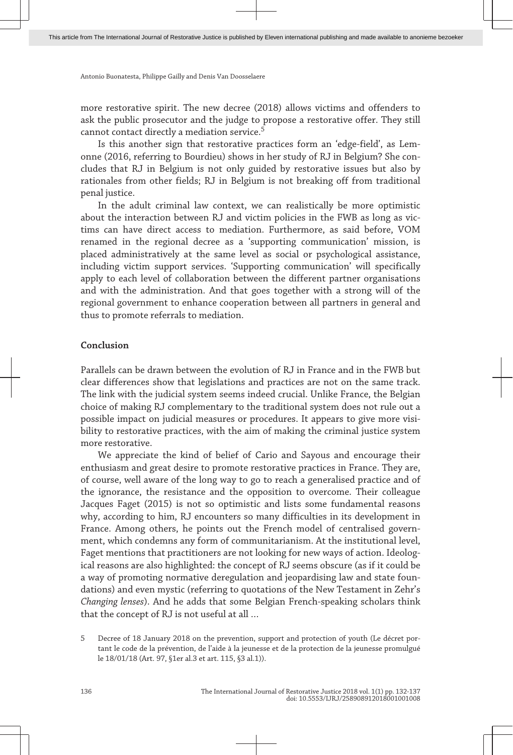Antonio Buonatesta, Philippe Gailly and Denis Van Doosselaere

more restorative spirit. The new decree (2018) allows victims and offenders to ask the public prosecutor and the judge to propose a restorative offer. They still cannot contact directly a mediation service.<sup>5</sup>

Is this another sign that restorative practices form an 'edge-field', as Lem‐ onne (2016, referring to Bourdieu) shows in her study of RJ in Belgium? She con‐ cludes that RJ in Belgium is not only guided by restorative issues but also by rationales from other fields; RJ in Belgium is not breaking off from traditional penal justice.

In the adult criminal law context, we can realistically be more optimistic about the interaction between RJ and victim policies in the FWB as long as vic‐ tims can have direct access to mediation. Furthermore, as said before, VOM renamed in the regional decree as a 'supporting communication' mission, is placed administratively at the same level as social or psychological assistance, including victim support services. 'Supporting communication' will specifically apply to each level of collaboration between the different partner organisations and with the administration. And that goes together with a strong will of the regional government to enhance cooperation between all partners in general and thus to promote referrals to mediation.

# **Conclusion**

Parallels can be drawn between the evolution of RJ in France and in the FWB but clear differences show that legislations and practices are not on the same track. The link with the judicial system seems indeed crucial. Unlike France, the Belgian choice of making RJ complementary to the traditional system does not rule out a possible impact on judicial measures or procedures. It appears to give more visibility to restorative practices, with the aim of making the criminal justice system more restorative.

We appreciate the kind of belief of Cario and Sayous and encourage their enthusiasm and great desire to promote restorative practices in France. They are, of course, well aware of the long way to go to reach a generalised practice and of the ignorance, the resistance and the opposition to overcome. Their colleague Jacques Faget (2015) is not so optimistic and lists some fundamental reasons why, according to him, RJ encounters so many difficulties in its development in France. Among others, he points out the French model of centralised government, which condemns any form of communitarianism. At the institutional level, Faget mentions that practitioners are not looking for new ways of action. Ideological reasons are also highlighted: the concept of RJ seems obscure (as if it could be a way of promoting normative deregulation and jeopardising law and state foun‐ dations) and even mystic (referring to quotations of the New Testament in Zehr's *Changing lenses*). And he adds that some Belgian French-speaking scholars think that the concept of RJ is not useful at all …

<sup>5</sup> Decree of 18 January 2018 on the prevention, support and protection of youth (Le décret portant le code de la prévention, de l'aide à la jeunesse et de la protection de la jeunesse promulgué le 18/01/18 (Art. 97, §1er al.3 et art. 115, §3 al.1)).